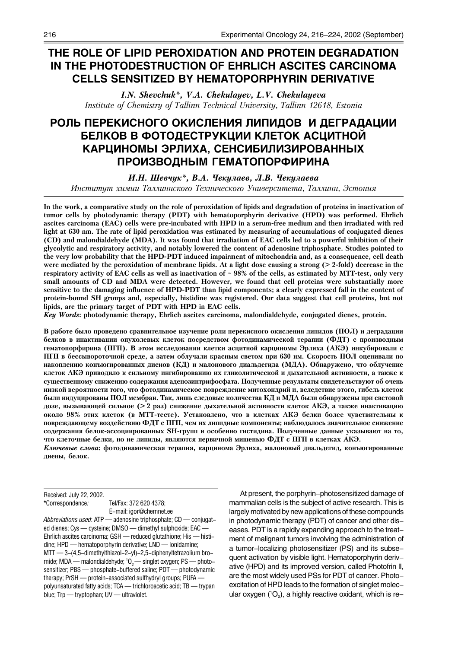# **THE ROLE OF LIPID PEROXIDATION AND PROTEIN DEGRADATION IN THE PHOTODESTRUCTION OF EHRLICH ASCITES CARCINOMA CELLS SENSITIZED BY HEMATOPORPHYRIN DERIVATIVE**

*I.N. Shevchuk\*, V.A. Chekulayev, L.V. Chekulayeva Institute of Chemistry of Tallinn Technical University, Tallinn 12618, Estonia*

# РОЛЬ ПЕРЕКИСНОГО ОКИСЛЕНИЯ ЛИПИДОВ И ДЕГРАДАЦИИ **БЕЛКОВ В ФОТОДЕСТРУКЦИИ КЛЕТОК АСЦИТНОЙ КАРЦИНОМЫ ЭРЛИХА, СЕНСИБИЛИЗИРОВАННЫХ** ПРОИЗВОДНЫМ ГЕМАТОПОРФИРИНА

И.Н. Шевчук<sup>\*</sup>, В.А. Чекулаев, Л.В. Чекулаева

Инститит химии Таллиннского Технического Университета, Таллинн, Эстония

**In the work, a comparative study on the role of peroxidation of lipids and degradation of proteins in inactivation of tumor cells by photodynamic therapy (PDT) with hematoporphyrin derivative (HPD) was performed. Ehrlich ascites carcinoma (EAC) cells were pre-incubated with HPD in a serum-free medium and then irradiated with red light at 630 nm. The rate of lipid peroxidation was estimated by measuring of accumulations of conjugated dienes (CD) and malondialdehyde (MDA). It was found that irradiation of EAC cells led to a powerful inhibition of their glycolytic and respiratory activity, and notably lowered the content of adenosine triphosphate. Studies pointed to the very low probability that the HPD-PDT induced impairment of mitochondria and, as a consequence, cell death were mediated by the peroxidation of membrane lipids. At a light dose causing a strong (> 2-fold) decrease in the respiratory activity of EAC cells as well as inactivation of ~ 98% of the cells, as estimated by MTT-test, only very small amounts of CD and MDA were detected. However, we found that cell proteins were substantially more sensitive to the damaging influence of HPD-PDT than lipid components; a clearly expressed fall in the content of protein-bound SH groups and, especially, histidine was registered. Our data suggest that cell proteins, but not lipids, are the primary target of PDT with HPD in EAC cells.**

*Key Words***: photodynamic therapy, Ehrlich ascites carcinoma, malondialdehyde, conjugated dienes, protein.**

В работе было проведено сравнительное изучение роли перекисного окисления липидов (ПОЛ) и деградации белков в инактивации опухолевых клеток посредством фотодинамической терапии (ФДТ) с производным гематопорфирина (ПГП). В этом исследовании клетки асцитной карциномы Эрлиха (АКЭ) инкубировали с ПГП в бессывороточной среде, а затем облучали красным светом при 630 нм. Скорость ПОЛ оценивали по накоплению конъюгированных диенов (КД) и малонового диальдегида (МДА). Обнаружено, что облучение клеток АКЭ приводило к сильному ингибированию их гликолитической и дыхательной активности, а также к существенному снижению содержания аденозинтрифосфата. Полученные результаты свидетельствуют об очень низкой вероятности того, что фотодинамическое повреждение митохондрий и, вследствие этого, гибель клеток были индуцированы ПОЛ мембран. Так, лишь следовые количества КД и МДА были обнаружены при световой дозе, вызывающей сильное (> 2 раз) снижение дыхательной активности клеток АКЭ, а также инактивацию около 98% этих клеток (в МТТ-тесте). Установлено, что в клетках АКЭ белки более чувствительны к повреждающему воздействию ФДТ с ПГП, чем их липидные компоненты; наблюдалось значительное снижение содержания белок-ассоциированных SH-групп и особенно гистидина. Полученные данные указывают на то, что клеточные белки, но не липиды, являются первичной мишенью ФДТ с ПГП в клетках АКЭ. Ключевые слова: фотодинамическая терапия, карцинома Эрлиха, малоновый диальдегид, конъюгированные диены, белок.

Received: July 22, 2002. **\***Correspondence*:* Tel/Fax: 372 620 4378;

E-mail: igor@chemnet.ee *Abbreviations used*: ATP – adenosine triphosphate; CD – conjugated dienes; Cys – cysteine; DMSO – dimethyl sulphoxide; EAC of Ehrlich ascites carcinoma; GSH - reduced glutathione; His - histidine; HPD – hematoporphyrin derivative; LND – lonidamine;  $MTT$   $-$  3-(4,5-dimethylthiazol-2-yl)-2,5-diphenyltetrazolium bromide; MDA — malondialdehyde; 10 $_{\textrm{\tiny{2}}}$ — singlet oxygen; PS — photo– sensitizer; PBS – phosphate-buffered saline; PDT – photodynamic therapy; PrSH  $-$  protein-associated sulfhydryl groups; PUFA  $$ polyunsaturated fatty acids; TCA - trichloroacetic acid; TB - trypan blue; Trp  $-$  tryptophan; UV  $-$  ultraviolet.

At present, the porphyrin-photosensitized damage of mammalian cells is the subject of active research. This is largely motivated by new applications of these compounds in photodynamic therapy (PDT) of cancer and other diseases. PDT is a rapidly expanding approach to the treatment of malignant tumors involving the administration of a tumor-localizing photosensitizer (PS) and its subsequent activation by visible light. Hematoporphyrin derivative (HPD) and its improved version, called Photofrin II, are the most widely used PSs for PDT of cancer. Photoexcitation of HPD leads to the formation of singlet molecular oxygen ( $^1\mathrm{O}_2$ ), a highly reactive oxidant, which is re–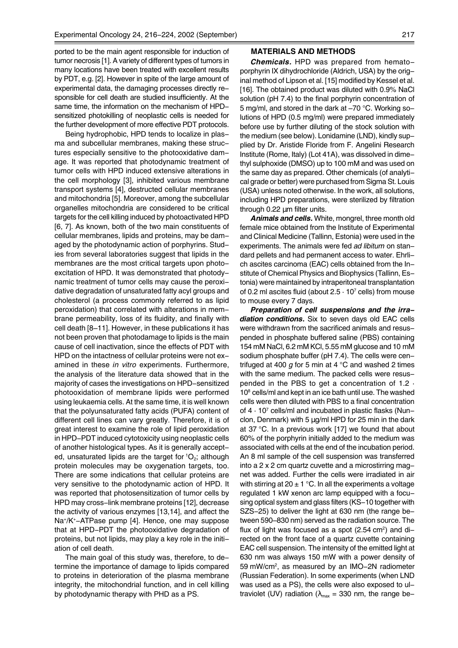ported to be the main agent responsible for induction of tumor necrosis [1]. A variety of different types of tumors in many locations have been treated with excellent results by PDT, e.g. [2]. However in spite of the large amount of experimental data, the damaging processes directly responsible for cell death are studied insufficiently. At the same time, the information on the mechanism of HPDsensitized photokilling of neoplastic cells is needed for the further development of more effective PDT protocols.

Being hydrophobic, HPD tends to localize in plasma and subcellular membranes, making these structures especially sensitive to the photooxidative damage. It was reported that photodynamic treatment of tumor cells with HPD induced extensive alterations in the cell morphology [3], inhibited various membrane transport systems [4], destructed cellular membranes and mitochondria [5]. Moreover, among the subcellular organelles mitochondria are considered to be critical targets for the cell killing induced by photoactivated HPD [6, 7]. As known, both of the two main constituents of cellular membranes, lipids and proteins, may be damaged by the photodynamic action of porphyrins. Studies from several laboratories suggest that lipids in the membranes are the most critical targets upon photoexcitation of HPD. It was demonstrated that photodynamic treatment of tumor cells may cause the peroxidative degradation of unsaturated fatty acyl groups and cholesterol (a process commonly referred to as lipid peroxidation) that correlated with alterations in membrane permeability, loss of its fluidity, and finally with cell death [8-11]. However, in these publications it has not been proven that photodamage to lipids is the main cause of cell inactivation, since the effects of PDT with HPD on the intactness of cellular proteins were not examined in these *in vitro* experiments. Furthermore, the analysis of the literature data showed that in the majority of cases the investigations on HPD-sensitized photooxidation of membrane lipids were performed using leukaemia cells. At the same time, it is well known that the polyunsaturated fatty acids (PUFA) content of different cell lines can vary greatly. Therefore, it is of great interest to examine the role of lipid peroxidation in HPD-PDT induced cytotoxicity using neoplastic cells of another histological types. As it is generally accepted, unsaturated lipids are the target for  ${}^{1}O_{2}$ ; although protein molecules may be oxygenation targets, too. There are some indications that cellular proteins are very sensitive to the photodynamic action of HPD. It was reported that photosensitization of tumor cells by HPD may cross-link membrane proteins [12], decrease the activity of various enzymes [13,14], and affect the Na+/K+-ATPase pump [4]. Hence, one may suppose that at HPD-PDT the photooxidative degradation of proteins, but not lipids, may play a key role in the initiation of cell death.

The main goal of this study was, therefore, to determine the importance of damage to lipids compared to proteins in deterioration of the plasma membrane integrity, the mitochondrial function, and in cell killing by photodynamic therapy with PHD as a PS.

#### **MATERIALS AND METHODS**

*Chemicals.* HPD was prepared from hematoporphyrin IX dihydrochloride (Aldrich, USA) by the original method of Lipson et al. [15] modified by Kessel et al. [16]. The obtained product was diluted with 0.9% NaCl solution (pH 7.4) to the final porphyrin concentration of 5 mg/ml, and stored in the dark at  $-70$  °C. Working solutions of HPD (0.5 mg/ml) were prepared immediately before use by further diluting of the stock solution with the medium (see below). Lonidamine (LND), kindly supplied by Dr. Aristide Floride from F. Angelini Research Institute (Rome, Italy) (Lot 41A), was dissolved in dimethyl sulphoxide (DMSO) up to 100 mM and was used on the same day as prepared. Other chemicals (of analytical grade or better) were purchased from Sigma St. Louis (USA) unless noted otherwise. In the work, all solutions, including HPD preparations, were sterilized by filtration through 0.22 um filter units.

*Animals and cells.* White, mongrel, three month old female mice obtained from the Institute of Experimental and Clinical Medicine (Tallinn, Estonia) were used in the experiments. The animals were fed *ad libitum* on standard pellets and had permanent access to water. Ehrlich ascites carcinoma (EAC) cells obtained from the Institute of Chemical Physics and Biophysics (Tallinn, Estonia) were maintained by intraperitoneal transplantation of 0.2 ml ascites fluid (about  $2.5 \cdot 10^7$  cells) from mouse to mouse every 7 days.

*Preparation of cell suspensions and the irradiation conditions.* Six to seven days old EAC cells were withdrawn from the sacrificed animals and resuspended in phosphate buffered saline (PBS) containing 154 mM NaCl, 6.2 mM KCl, 5.55 mM glucose and 10 mM sodium phosphate buffer (pH 7.4). The cells were centrifuged at 400 *g* for 5 min at 4 °C and washed 2 times with the same medium. The packed cells were resuspended in the PBS to get a concentration of 1.2 · 108 cells/ml and kept in an ice bath until use. The washed cells were then diluted with PBS to a final concentration of 4 · 107 cells/ml and incubated in plastic flasks (Nunclon, Denmark) with 5  $\mu$ g/ml HPD for 25 min in the dark at 37 °C. In a previous work [17] we found that about 60% of the porphyrin initially added to the medium was associated with cells at the end of the incubation period. An 8 ml sample of the cell suspension was transferred into a 2 x 2 cm quartz cuvette and a microstirring magnet was added. Further the cells were irradiated in air with stirring at  $20 \pm 1$  °C. In all the experiments a voltage regulated 1 kW xenon arc lamp equipped with a focusing optical system and glass filters (KS-10 together with SZS-25) to deliver the light at 630 nm (the range between 590–830 nm) served as the radiation source. The flux of light was focused as a spot  $(2.54 \text{ cm}^2)$  and directed on the front face of a quartz cuvette containing EAC cell suspension. The intensity of the emitted light at 630 nm was always 150 mW with a power density of 59 mW/cm2, as measured by an IMO-2N radiometer (Russian Federation). In some experiments (when LND was used as a PS), the cells were also exposed to ultraviolet (UV) radiation ( $\lambda_{\text{max}} = 330$  nm, the range be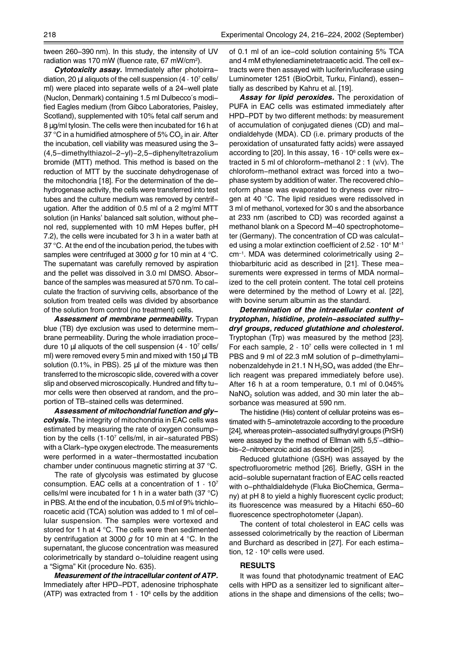tween 260–390 nm). In this study, the intensity of UV radiation was 170 mW (fluence rate, 67 mW/cm<sup>2</sup>).

*Cytotoxicity assay.* Immediately after photoirradiation, 20  $\mu$ l aliquots of the cell suspension (4  $\cdot$  10<sup>7</sup> cells/ ml) were placed into separate wells of a 24-well plate (Nuclon, Denmark) containing 1.5 ml Dulbecco′s modified Eagles medium (from Gibco Laboratories, Paisley, Scotland), supplemented with 10% fetal calf serum and 8 µg/ml tylosin. The cells were then incubated for 16 h at 37 °C in a humidified atmosphere of 5%  $CO<sub>2</sub>$  in air. After the incubation, cell viability was measured using the 3- (4,5-dimethylthiazol-2-yl)-2,5-diphenyltetrazolium bromide (MTT) method. This method is based on the reduction of MTT by the succinate dehydrogenase of the mitochondria [18]. For the determination of the dehydrogenase activity, the cells were transferred into test tubes and the culture medium was removed by centrifugation. After the addition of 0.5 ml of a 2 mg/ml MTT solution (in Hanks' balanced salt solution, without phenol red, supplemented with 10 mM Hepes buffer, pH 7.2), the cells were incubated for 3 h in a water bath at 37 °C. At the end of the incubation period, the tubes with samples were centrifuged at 3000 *g* for 10 min at 4 °C. The supernatant was carefully removed by aspiration and the pellet was dissolved in 3.0 ml DMSO. Absorbance of the samples was measured at 570 nm. To calculate the fraction of surviving cells, absorbance of the solution from treated cells was divided by absorbance of the solution from control (no treatment) cells.

*Assessment of membrane permeability.* Trypan blue (TB) dye exclusion was used to determine membrane permeability. During the whole irradiation procedure 10  $\mu$ l aliquots of the cell suspension (4  $\cdot$  10<sup>7</sup> cells/ ml) were removed every 5 min and mixed with 150 µl TB solution  $(0.1\%$ , in PBS). 25  $\mu$ l of the mixture was then transferred to the microscopic slide, covered with a cover slip and observed microscopically. Hundred and fifty tumor cells were then observed at random, and the proportion of TB-stained cells was determined.

*Assessment of mitochondrial function and glycolysis.* The integrity of mitochondria in EAC cells was estimated by measuring the rate of oxygen consumption by the cells  $(1.10^7 \text{ cells/m}$ , in air-saturated PBS) with a Clark-type oxygen electrode. The measurements were performed in a water-thermostatted incubation chamber under continuous magnetic stirring at 37 °C.

The rate of glycolysis was estimated by glucose consumption. EAC cells at a concentration of  $1 \cdot 10^7$ cells/ml were incubated for 1 h in a water bath (37 °C) in PBS. At the end of the incubation, 0.5 ml of 9% trichloroacetic acid (TCA) solution was added to 1 ml of cellular suspension. The samples were vortexed and stored for 1 h at 4 °C. The cells were then sedimented by centrifugation at 3000 *g* for 10 min at 4 °C. In the supernatant, the glucose concentration was measured colorimetrically by standard o-toluidine reagent using a "Sigma" Kit (procedure No. 635).

*Measurement of the intracellular content of ATP.* Immediately after HPD-PDT, adenosine triphosphate (ATP) was extracted from  $1 \cdot 10^6$  cells by the addition of 0.1 ml of an ice-cold solution containing 5% TCA and 4 mM ethylenediaminetetraacetic acid. The cell extracts were then assayed with luciferin/luciferase using Luminometer 1251 (BioOrbit, Turku, Finland), essentially as described by Kahru et al. [19].

*Assay for lipid peroxides.* The peroxidation of PUFA in EAC cells was estimated immediately after HPD-PDT by two different methods: by measurement of accumulation of conjugated dienes (CD) and malondialdehyde (MDA). CD (i.e. primary products of the peroxidation of unsaturated fatty acids) were assayed according to [20]. In this assay,  $16 \cdot 10^6$  cells were extracted in 5 ml of chloroform-methanol 2 : 1 (v/v). The chloroform-methanol extract was forced into a twophase system by addition of water. The recovered chloroform phase was evaporated to dryness over nitrogen at 40 °C. The lipid residues were redissolved in 3 ml of methanol, vortexed for 30 s and the absorbance at 233 nm (ascribed to CD) was recorded against a methanol blank on a Specord M-40 spectrophotometer (Germany). The concentration of CD was calculated using a molar extinction coefficient of  $2.52 \cdot 10^4$  M<sup>-1</sup>  $cm<sup>-1</sup>$ . MDA was determined colorimetrically using 2thiobarbituric acid as described in [21]. These measurements were expressed in terms of MDA normalized to the cell protein content. The total cell proteins were determined by the method of Lowry et al. [22], with bovine serum albumin as the standard.

*Determination of the intracellular content of tryptophan, histidine, protein-associated sulfhydryl groups, reduced glutathione and cholesterol.* Tryptophan (Trp) was measured by the method [23]. For each sample,  $2 \cdot 10^7$  cells were collected in 1 ml PBS and 9 ml of 22.3 mM solution of p-dimethylaminobenzaldehyde in 21.1 N  $H_2SO_4$  was added (the Ehrlich reagent was prepared immediately before use). After 16 h at a room temperature, 0.1 ml of 0.045%  $NaNO<sub>2</sub>$  solution was added, and 30 min later the absorbance was measured at 590 nm.

The histidine (His) content of cellular proteins was estimated with 5-aminotetrazole according to the procedure [24], whereas protein-associated sulfhydryl groups (PrSH) were assayed by the method of Ellman with 5,5'-dithiobis-2-nitrobenzoic acid as described in [25].

Reduced glutathione (GSH) was assayed by the spectrofluorometric method [26]. Briefly, GSH in the acid-soluble supernatant fraction of EAC cells reacted with o-phthaldialdehyde (Fluka BioChemica, Germany) at pH 8 to yield a highly fluorescent cyclic product; its fluorescence was measured by a Hitachi 650-60 fluorescence spectrophotometer (Japan).

The content of total cholesterol in EAC cells was assessed colorimetrically by the reaction of Liberman and Burchard as described in [27]. For each estimation,  $12 \cdot 10^6$  cells were used.

#### **RESULTS**

It was found that photodynamic treatment of EAC cells with HPD as a sensitizer led to significant alterations in the shape and dimensions of the cells; two-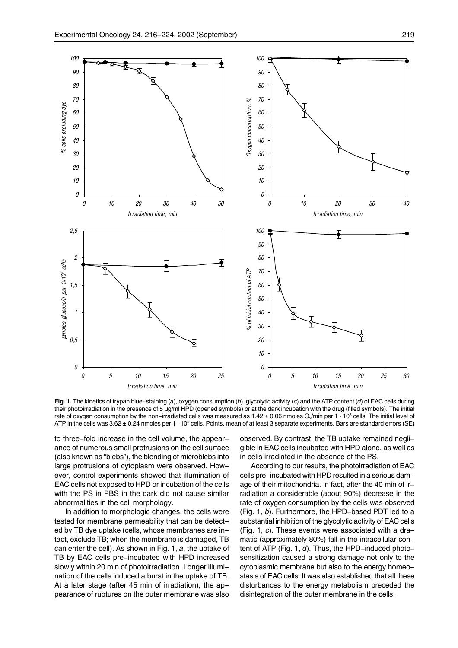

**Fig. 1.** The kinetics of trypan blue-staining (*a*), oxygen consumption (*b*), glycolytic activity (*c*) and the ATP content (*d*) of EAC cells during their photoirradiation in the presence of 5 µg/ml HPD (opened symbols) or at the dark incubation with the drug (filled symbols). The initial rate of oxygen consumption by the non–irradiated cells was measured as 1.42 ± 0.06 nmoles O $_2$ /min per 1  $\cdot$  10 $^{\rm e}$  cells. The initial level of ATP in the cells was 3.62  $\pm$  0.24 nmoles per 1  $\cdot$  10 $^{\rm e}$  cells. Points, mean of at least 3 separate experiments. Bars are standard errors (SE)

to three-fold increase in the cell volume, the appearance of numerous small protrusions on the cell surface (also known as "blebs"), the blending of microblebs into large protrusions of cytoplasm were observed. However, control experiments showed that illumination of EAC cells not exposed to HPD or incubation of the cells with the PS in PBS in the dark did not cause similar abnormalities in the cell morphology.

In addition to morphologic changes, the cells were tested for membrane permeability that can be detected by TB dye uptake (cells, whose membranes are intact, exclude TB; when the membrane is damaged, TB can enter the cell). As shown in Fig. 1, *a*, the uptake of TB by EAC cells pre-incubated with HPD increased slowly within 20 min of photoirradiation. Longer illumination of the cells induced a burst in the uptake of TB. At a later stage (after 45 min of irradiation), the appearance of ruptures on the outer membrane was also observed. By contrast, the TB uptake remained negligible in EAC cells incubated with HPD alone, as well as in cells irradiated in the absence of the PS.

According to our results, the photoirradiation of EAC cells pre-incubated with HPD resulted in a serious damage of their mitochondria. In fact, after the 40 min of irradiation a considerable (about 90%) decrease in the rate of oxygen consumption by the cells was observed (Fig. 1, *b*). Furthermore, the HPD-based PDT led to a substantial inhibition of the glycolytic activity of EAC cells (Fig. 1, *c*). These events were associated with a dramatic (approximately 80%) fall in the intracellular content of ATP (Fig. 1, *d*). Thus, the HPD-induced photosensitization caused a strong damage not only to the cytoplasmic membrane but also to the energy homeostasis of EAC cells. It was also established that all these disturbances to the energy metabolism preceded the disintegration of the outer membrane in the cells.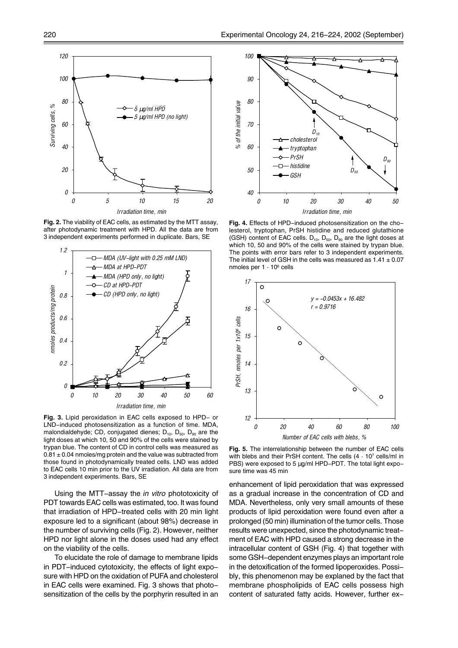

**Fig. 2.** The viability of EAC cells, as estimated by the MTT assay, after photodynamic treatment with HPD. All the data are from 3 independent experiments performed in duplicate. Bars, SE



**Fig. 3.** Lipid peroxidation in EAC cells exposed to HPD- or LND-induced photosensitization as a function of time. MDA, malondialdehyde; CD, conjugated dienes;  $D_{10}$ ,  $D_{50}$ ,  $D_{90}$  are the light doses at which 10, 50 and 90% of the cells were stained by trypan blue. The content of CD in control cells was measured as  $0.81 \pm 0.04$  nmoles/mg protein and the value was subtracted from those found in photodynamically treated cells. LND was added to EAC cells 10 min prior to the UV irradiation. All data are from 3 independent experiments. Bars, SE

Using the MTT-assay the *in vitro* phototoxicity of PDT towards EAC cells was estimated, too. It was found that irradiation of HPD-treated cells with 20 min light exposure led to a significant (about 98%) decrease in the number of surviving cells (Fig. 2). However, neither HPD nor light alone in the doses used had any effect on the viability of the cells.

To elucidate the role of damage to membrane lipids in PDT-induced cytotoxicity, the effects of light exposure with HPD on the oxidation of PUFA and cholesterol in EAC cells were examined. Fig. 3 shows that photosensitization of the cells by the porphyrin resulted in an



**Fig. 4.** Effects of HPD-induced photosensitization on the cholesterol, tryptophan, PrSH histidine and reduced glutathione (GSH) content of EAC cells.  $D_{10}$ ,  $D_{50}$ ,  $D_{90}$  are the light doses at which 10, 50 and 90% of the cells were stained by trypan blue. The points with error bars refer to 3 independent experiments. The initial level of GSH in the cells was measured as  $1.41 \pm 0.07$ nmoles per  $1 \cdot 10^6$  cells



**Fig. 5.** The interrelationship between the number of EAC cells with blebs and their PrSH content. The cells  $(4 \cdot 10^7 \text{ cells/ml in}$ PBS) were exposed to 5 µg/ml HPD-PDT. The total light exposure time was 45 min

enhancement of lipid peroxidation that was expressed as a gradual increase in the concentration of CD and MDA. Nevertheless, only very small amounts of these products of lipid peroxidation were found even after a prolonged (50 min) illumination of the tumor cells. Those results were unexpected, since the photodynamic treatment of EAC with HPD caused a strong decrease in the intracellular content of GSH (Fig. 4) that together with some GSH-dependent enzymes plays an important role in the detoxification of the formed lipoperoxides. Possibly, this phenomenon may be explaned by the fact that membrane phospholipids of EAC cells possess high content of saturated fatty acids. However, further ex-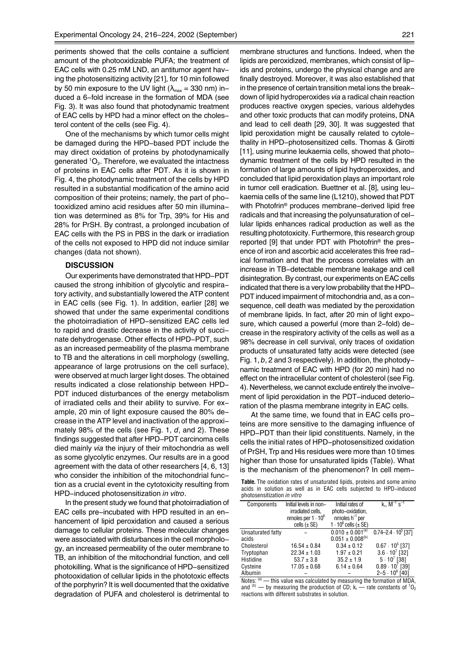periments showed that the cells containe a sufficient amount of the photooxidizable PUFA; the treatment of EAC cells with 0.25 mM LND, an antitumor agent having the photosensitizing activity [21], for 10 min followed by 50 min exposure to the UV light ( $\lambda_{\text{max}}$  = 330 nm) induced a 6-fold increase in the formation of MDA (see Fig. 3). It was also found that photodynamic treatment of EAC cells by HPD had a minor effect on the cholesterol content of the cells (see Fig. 4).

One of the mechanisms by which tumor cells might be damaged during the HPD-based PDT include the may direct oxidation of proteins by photodynamically generated  $^1\mathrm{O}_2$ . Therefore, we evaluated the intactness of proteins in EAC cells after PDT. As it is shown in Fig. 4, the photodynamic treatment of the cells by HPD resulted in a substantial modification of the amino acid composition of their proteins; namely, the part of photooxidized amino acid residues after 50 min illumination was determined as 8% for Trp, 39% for His and 28% for PrSH. By contrast, a prolonged incubation of EAC cells with the PS in PBS in the dark or irradiation of the cells not exposed to HPD did not induce similar changes (data not shown).

### **DISCUSSION**

Our experiments have demonstrated that HPD-PDT caused the strong inhibition of glycolytic and respiratory activity, and substantially lowered the ATP content in EAC cells (see Fig. 1). In addition, earlier [28] we showed that under the same experimental conditions the photoirradiation of HPD-sensitized EAC cells led to rapid and drastic decrease in the activity of succinate dehydrogenase. Other effects of HPD-PDT, such as an increased permeability of the plasma membrane to TB and the alterations in cell morphology (swelling, appearance of large protrusions on the cell surface), were observed at much larger light doses. The obtained results indicated a close relationship between HPD-PDT induced disturbances of the energy metabolism of irradiated cells and their ability to survive. For example, 20 min of light exposure caused the 80% decrease in the ATP level and inactivation of the approximately 98% of the cells (see Fig. 1, *d*, and 2). These findings suggested that after HPD-PDT carcinoma cells died mainly *via* the injury of their mitochondria as well as some glycolytic enzymes. Our results are in a good agreement with the data of other researchers [4, 6, 13] who consider the inhibition of the mitochondrial function as a crucial event in the cytotoxicity resulting from HPD-induced photosensitization *in vitro*.

In the present study we found that photoirradiation of EAC cells pre-incubated with HPD resulted in an enhancement of lipid peroxidation and caused a serious damage to cellular proteins. These molecular changes were associated with disturbances in the cell morphology, an increased permeability of the outer membrane to TB, an inhibition of the mitochondrial function, and cell photokilling. What is the significance of HPD-sensitized photooxidation of cellular lipids in the phototoxic effects of the porphyrin? It is well documented that the oxidative degradation of PUFA and cholesterol is detrimental to membrane structures and functions. Indeed, when the lipids are peroxidized, membranes, which consist of lipids and proteins, undergo the physical change and are finally destroyed. Moreover, it was also established that in the presence of certain transition metal ions the breakdown of lipid hydroperoxides *via* a radical chain reaction produces reactive oxygen species, various aldehydes and other toxic products that can modify proteins, DNA and lead to cell death [29, 30]. It was suggested that lipid peroxidation might be causally related to cytolethality in HPD-photosensitized cells. Thomas & Girotti [11], using murine leukaemia cells, showed that photodynamic treatment of the cells by HPD resulted in the formation of large amounts of lipid hydroperoxides, and concluded that lipid peroxidation plays an important role in tumor cell eradication. Buettner et al. [8], using leukaemia cells of the same line (L1210), showed that PDT with Photofrin® produces membrane-derived lipid free radicals and that increasing the polyunsaturation of cellular lipids enhances radical production as well as the resulting phototoxicity. Furthermore, this research group reported [9] that under PDT with Photofrin<sup>®</sup> the presence of iron and ascorbic acid accelerates this free radical formation and that the process correlates with an increase in TB-detectable membrane leakage and cell disintegration. By contrast, our experiments on EAC cells indicated that there is a very low probability that the HPD-PDT induced impairment of mitochondria and, as a consequence, cell death was mediated by the peroxidation of membrane lipids. In fact, after 20 min of light exposure, which caused a powerful (more than 2-fold) decrease in the respiratory activity of the cells as well as a 98% decrease in cell survival, only traces of oxidation products of unsaturated fatty acids were detected (see Fig. 1, *b*, 2 and 3 respectively). In addition, the photodynamic treatment of EAC with HPD (for 20 min) had no effect on the intracellular content of cholesterol (see Fig. 4). Nevertheless, we cannot exclude entirely the involvement of lipid peroxidation in the PDT-induced deterioration of the plasma membrane integrity in EAC cells.

At the same time, we found that in EAC cells proteins are more sensitive to the damaging influence of HPD-PDT than their lipid constituents. Namely, in the cells the initial rates of HPD-photosensitized oxidation of PrSH, Trp and His residues were more than 10 times higher than those for unsaturated lipids (Table). What is the mechanism of the phenomenon? In cell mem-

**Table.** The oxidation rates of unsaturated lipids, proteins and some amino acids in solution as well as in EAC cells subjected to HPD-induced photosensitization *in vitro*

| Components        | Initial levels in non-    | Initial rates of                             | $k_r$ , $M^{-1}$ s <sup>-1</sup> |
|-------------------|---------------------------|----------------------------------------------|----------------------------------|
|                   | irradiated cells,         | photo-oxidation.                             |                                  |
|                   | nmoles per $1 \cdot 10^6$ | nmoles $h^{-1}$ per                          |                                  |
|                   | cells $(\pm SE)$          | 1 $\cdot$ 10 $\mathrm{^6}$ cells ( $\pm$ SE) |                                  |
| Unsaturated fatty |                           | $0.010 \pm 0.001^{(a)}$                      | $0.74 - 2.4 \cdot 10^5$ [37]     |
| acids             |                           | $0.051 \pm 0.008^{(b)}$                      |                                  |
| Cholesterol       | $16.54 \pm 0.84$          | $0.34 \pm 0.12$                              | $0.67 \cdot 10^5$ [37]           |
| Tryptophan        | $22.34 \pm 1.03$          | $1.97 \pm 0.21$                              | $3.6 \cdot 10^7$ [32]            |
| Histidine         | $53.7 \pm 3.8$            | $35.2 \pm 1.9$                               | $5 \cdot 10^7$ [38]              |
| Cysteine          | $17.05 \pm 0.68$          | $6.14 \pm 0.64$                              | $0.89 \cdot 10'$ [39]            |
| Albumin           |                           |                                              | $2 - 5 \cdot 10^8$ [40]          |

Notes:  $(a)$  – this value was calculated by measuring the formation of MDA, and  $\rm ^{(b)}$  — by measuring the production of CD; k<sub>r</sub> — rate constants of  $\rm ^1O_2$ reactions with different substrates in solution.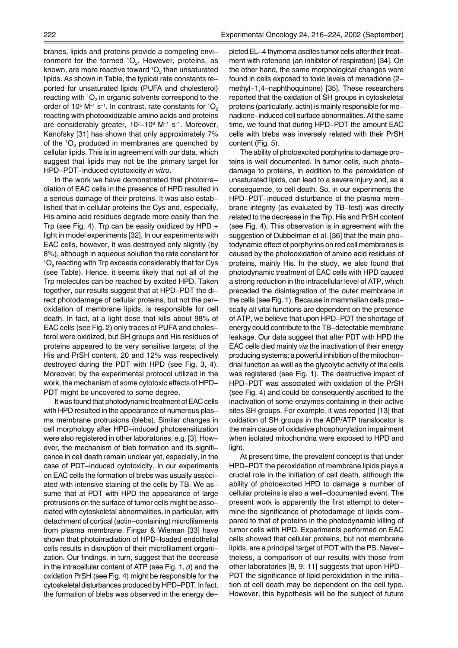branes, lipids and proteins provide a competing environment for the formed  ${}^{1}O_{2}$ . However, proteins, as known, are more reactive toward  $^{\mathsf{1O}_2}$  than unsaturated lipids. As shown in Table, the typical rate constants reported for unsaturated lipids (PUFA and cholesterol) reacting with  ${}^{1}O_{2}$  in organic solvents correspond to the order of 10 $^5$  M $^{-1}$  s $^{-1}$ . In contrast, rate constants for  $^1\mathrm{O}_2$ reacting with photooxidizable amino acids and proteins are considerably greater,  $10^{7}-10^{8}$  M<sup>-1</sup> s<sup>-1</sup>. Moreover, Kanofsky [31] has shown that only approximately 7% of the  ${}^{1}O_{2}$  produced in membranes are quenched by cellular lipids. This is in agreement with our data, which suggest that lipids may not be the primary target for HPD-PDT-induced cytotoxicity *in vitro*.

In the work we have demonstrated that photoirradiation of EAC cells in the presence of HPD resulted in a serious damage of their proteins. It was also established that in cellular proteins the Cys and, especially, His amino acid residues degrade more easily than the Trp (see Fig. 4). Trp can be easily oxidized by HPD + light in model experiments [32]. In our experiments with EAC cells, however, it was destroyed only slightly (by 8%), although in aqueous solution the rate constant for  ${}^1O_2$  reacting with Trp exceeds considerably that for Cys (see Table). Hence, it seems likely that not all of the Trp molecules can be reached by excited HPD. Taken together, our results suggest that at HPD-PDT the direct photodamage of cellular proteins, but not the peroxidation of membrane lipids, is responsible for cell death. In fact, at a light dose that kills about 98% of EAC cells (see Fig. 2) only traces of PUFA and cholesterol were oxidized, but SH groups and His residues of proteins appeared to be very sensitive targets; of the His and PrSH content, 20 and 12% was respectively destroyed during the PDT with HPD (see Fig. 3, 4). Moreover, by the experimental protocol utilized in the work, the mechanism of some cytotoxic effects of HPD-PDT might be uncovered to some degree.

It was found that photodynamic treatment of EAC cells with HPD resulted in the appearance of numerous plasma membrane protrusions (blebs). Similar changes in cell morphology after HPD-induced photosensitization were also registered in other laboratories, e.g. [3]. However, the mechanism of bleb formation and its significance in cell death remain unclear yet, especially, in the case of PDT-induced cytotoxicity. In our experiments on EAC cells the formation of blebs was usually associated with intensive staining of the cells by TB. We assume that at PDT with HPD the appearance of large protrusions on the surface of tumor cells might be associated with cytoskeletal abnormalities, in particular, with detachment of cortical (actin-containing) microfilaments from plasma membrane. Fingar & Wieman [33] have shown that photoirradiation of HPD-loaded endothelial cells results in disruption of their microfilament organization. Our findings, in turn, suggest that the decrease in the intracellular content of ATP (see Fig. 1, *d*) and the oxidation PrSH (see Fig. 4) might be responsible for the cytoskeletal disturbances produced by HPD-PDT. In fact, the formation of blebs was observed in the energy depleted EL-4 thymoma ascites tumor cells after their treatment with rotenone (an inhibitor of respiration) [34]. On the other hand, the same morphological changes were found in cells exposed to toxic levels of menadione (2 methyl-1,4-naphthoquinone) [35]. These researchers reported that the oxidation of SH groups in cytoskeletal proteins (particularly, actin) is mainly responsible for menadione-induced cell surface abnormalities. At the same time, we found that during HPD-PDT the amount EAC cells with blebs was inversely related with their PrSH content (Fig. 5).

The ability of photoexcited porphyrins to damage proteins is well documented. In tumor cells, such photodamage to proteins, in addition to the peroxidation of unsaturated lipids, can lead to a severe injury and, as a consequence, to cell death. So, in our experiments the HPD-PDT-induced disturbance of the plasma membrane integrity (as evaluated by TB-test) was directly related to the decrease in the Trp, His and PrSH content (see Fig. 4). This observation is in agreement with the suggestion of Dubbelman et al. [36] that the main photodynamic effect of porphyrins on red cell membranes is caused by the photooxidation of amino acid residues of proteins, mainly His. In the study, we also found that photodynamic treatment of EAC cells with HPD caused a strong reduction in the intracellular level of ATP, which preceded the disintegration of the outer membrane in the cells (see Fig. 1). Because in mammalian cells practically all vital functions are dependent on the presence of ATP, we believe that upon HPD-PDT the shortage of energy could contribute to the TB-detectable membrane leakage. Our data suggest that after PDT with HPD the EAC cells died mainly *via* the inactivation of their energy producing systems; a powerful inhibition of the mitochondrial function as well as the glycolytic activity of the cells was registered (see Fig. 1). The destructive impact of HPD-PDT was associated with oxidation of the PrSH (see Fig. 4) and could be consequently ascribed to the inactivation of some enzymes containing in their active sites SH groups. For example, it was reported [13] that oxidation of SH groups in the ADP/ATP translocator is the main cause of oxidative phosphorylation impairment when isolated mitochondria were exposed to HPD and light.

At present time, the prevalent concept is that under HPD-PDT the peroxidation of membrane lipids plays a crucial role in the initiation of cell death, although the ability of photoexcited HPD to damage a number of cellular proteins is also a well-documented event. The present work is apparently the first attempt to determine the significance of photodamage of lipids compared to that of proteins in the photodynamic killing of tumor cells with HPD. Experiments performed on EAC cells showed that cellular proteins, but not membrane lipids, are a principal target of PDT with the PS. Nevertheless, a comparison of our results with those from other laboratories [8, 9, 11] suggests that upon HPD-PDT the significance of lipid peroxidation in the initiation of cell death may be dependent on the cell type. However, this hypothesis will be the subject of future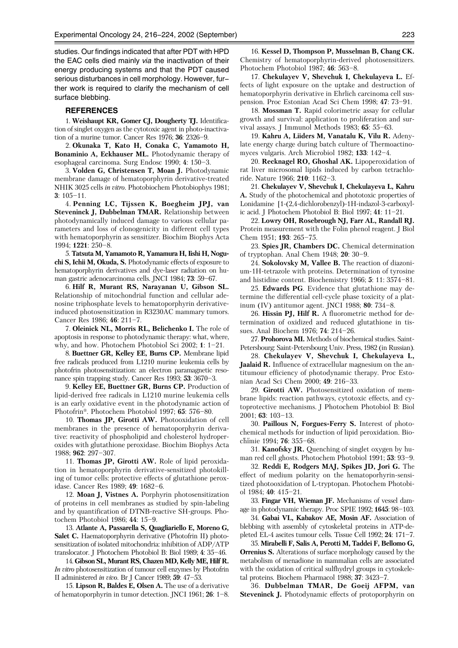studies. Our findings indicated that after PDT with HPD the EAC cells died mainly *via* the inactivation of their energy producing systems and that the PDT caused serious disturbances in cell morphology. However, further work is required to clarify the mechanism of cell surface blebbing.

#### **REFERENCES**

1. **Weishaupt KR, Gomer CJ, Dougherty TJ.** Identification of singlet oxygen as the cytotoxic agent in photo-inactivation of a murine tumor. Cancer Res 1976; **36**: 2326-9.

2. **Okunaka T, Kato H, Conaka C, Yamamoto H, Bonaminio A, Eckhauser ML.** Photodynamic therapy of esophageal carcinoma. Surg Endosc 1990; 4: 150<sup>-3</sup>.

3. **Volden G, Christensen T, Moan J.** Photodynamic membrane damage of hematoporphyrin derivative-treated NHIK 3025 cells *in vitro*. Photobiochem Photobiophys 1981;  $3:105-11.$ 

4. **Penning LC, Tijssen K, Boegheim JPJ, van Steveninck J, Dubbelman TMAR.** Relationship between photodynamically induced damage to various cellular parameters and loss of clonogenicity in different cell types with hematoporphyrin as sensitizer. Biochim Biophys Acta 1994; **1221**: 250-8.

5. **Tatsuta M, Yamamoto R, Yamamura H, Iishi H, Noguchi S, Ichii M, Okuda, S.** Photodynamic effects of exposure to hematoporphyrin derivatives and dye-laser radiation on human gastric adenocarcinoma cells. JNCI 1984; **73**: 59–67.

6. **Hilf R, Murant RS, Narayanan U, Gibson SL.** Relationship of mitochondrial function and cellular adenosine triphosphate levels to hematoporphyrin derivativeinduced photosensitization in R3230AC mammary tumors. Cancer Res 1986; 46: 211-7.

7. **Oleinick NL, Morris RL, Belichenko I.** The role of apoptosis in response to photodynamic therapy: what, where, why, and how. Photochem Photobiol Sci 2002;  $1: 1-21$ .

8. **Buettner GR, Kelley EE, Burns CP.** Membrane lipid free radicals produced from L1210 murine leukemia cells by photofrin photosensitization: an electron paramagnetic resonance spin trapping study. Cancer Res 1993; **53**: 3670<sup>-3</sup>.

9. **Kelley EE, Buettner GR, Burns CP.** Production of lipid-derived free radicals in L1210 murine leukemia cells is an early oxidative event in the photodynamic action of Photofrin®. Photochem Photobiol 1997; **65**: 576–80.

10. **Thomas JP, Girotti AW.** Photooxidation of cell membranes in the presence of hematoporphyrin derivative: reactivity of phospholipid and cholesterol hydroperoxides with glutathione peroxidase. Biochim Biophys Acta 1988; **962**: 297-307.

11. **Thomas JP, Girotti AW.** Role of lipid peroxidation in hematoporphyrin derivative-sensitized photokilling of tumor cells: protective effects of glutathione peroxidase. Cancer Res 1989: 49: 1682-6.

12. **Moan J, Vistnes A.** Porphyrin photosensitization of proteins in cell membranes as studied by spin-labeling and by quantification of DTNB-reactive SH-groups. Photochem Photobiol 1986; 44: 15-9.

13. **Atlante A, Passarella S, Quagliariello E, Moreno G, Salet C.** Haematoporphyrin derivative (Photofrin II) photosensitization of isolated mitochondria: inhibition of ADP/ATP translocator. J Photochem Photobiol B: Biol 1989; 4: 35-46.

14. **Gibson SL, Murant RS, Chazen MD, Kelly ME, Hilf R.** *In vitro* photosensitization of tumour cell enzymes by Photofrin II administered *in vivo*. Br J Cancer 1989; 59: 47-53.

15. **Lipson R, Baldes E, Olsen A.** The use of a derivative of hematoporphyrin in tumor detection. JNCI 1961;  $26: 1-8$ .

16. **Kessel D, Thompson P, Musselman B, Chang CK.** Chemistry of hematoporphyrin-derived photosensitizers. Photochem Photobiol 1987; 46: 563-8.

17. **Chekulayev V, Shevchuk I, Chekulayeva L.** Effects of light exposure on the uptake and destruction of hematoporphyrin derivative in Ehrlich carcinoma cell suspension. Proc Estonian Acad Sci Chem 1998; 47: 73-91.

18. **Mossman T.** Rapid colorimetric assay for cellular growth and survival: application to proliferation and survival assays. J Immunol Methods 1983; **65**: 55–63.

19. **Kahru A, Liiders M, Vanatalu K, Vilu R.** Adenylate energy charge during batch culture of Thermoactinomyces vulgaris. Arch Microbiol 1982; **133**: 142–4.

20. **Recknagel RO, Ghoshal AK.** Lipoperoxidation of rat liver microsomal lipids induced by carbon tetrachloride. Nature 1966; 210: 1162-3.

21. **Chekulayev V, Shevchuk I, Chekulayeva L, Kahru A.** Study of the photochemical and phototoxic properties of Lonidamine [1-(2,4-dichlorobenzyl)-1H-indazol-3-carboxylic acid. J Photochem Photobiol B: Biol  $1997$ ;  $41$ :  $11-21$ .

22. **Lowry OH, Rosebrough NJ, Farr AL, Randall RJ.** Protein measurement with the Folin phenol reagent. J Biol Chem 1951; **193**: 265-75.

23. **Spies JR, Chambers DC.** Chemical determination of tryptophan. Anal Chem 1948; **20**: 30–9.

24. **Sokolovsky M, Vallee B.** The reaction of diazonium-1H-tetrazole with proteins. Determination of tyrosine and histidine content. Biochemistry 1966; **5**: 11: 3574–81.

25. **Edwards PG**. Evidence that glutathione may determine the differential cell-cycle phase toxicity of a platinum (IV) antitumor agent. JNCI 1988; **80**: 734-8.

26. **Hissin PJ, Hilf R.** A fluorometric method for determination of oxidized and reduced glutathione in tissues. Anal Biochem 1976; **74**: 214-26.

27. **Prohorova MI.** Methods of biochemical studies. Saint-Petersbourg: Saint-Petersbourg Univ. Press, 1982 (in Russian).

28. **Chekulayev V, Shevchuk I, Chekulayeva L, Jaalaid R.** Influence of extracellular magnesium on the antitumour efficiency of photodynamic therapy. Proc Estonian Acad Sci Chem 2000; 49: 216-33.

29. **Girotti AW.** Photosensitized oxidation of membrane lipids: reaction pathways, cytotoxic effects, and cytoprotective mechanisms. J Photochem Photobiol B: Biol 2001; **63**: 103-13.

30. **Paillous N, Forgues-Ferry S.** Interest of photochemical methods for induction of lipid peroxidation. Biochimie 1994; **76**: 355–68.

31. **Kanofsky JR.** Quenching of singlet oxygen by human red cell ghosts. Photochem Photobiol 1991; 53: 93-9.

32. **Reddi E, Rodgers MAJ, Spikes JD, Jori G.** The effect of medium polarity on the hematoporhyrin-sensitized photooxidation of L-tryptopan. Photochem Photobiol 1984; 40: 415-21.

33. **Fingar VH, Wieman JF.** Mechanisms of vessel damage in photodynamic therapy. Proc SPIE 1992; 1645: 98-103.

34. **Gabai VL, Kabakov AE, Mosin AF.** Association of blebbing with assembly of cytoskeletal proteins in ATP-depleted EL-4 ascites tumour cells. Tissue Cell 1992; 24: 171-7.

35. **Mirabelli F, Salis A, Perotti M, Taddei F, Bellomo G, Orrenius S.** Alterations of surface morphology caused by the metabolism of menadione in mammalian cells are associated with the oxidation of critical sulfhydryl groups in cytoskeletal proteins. Biochem Pharmacol 1988; 37: 3423-7.

36. **Dubbelman TMAR, De Goeij AFPM, van Steveninck J.** Photodynamic effects of protoporphyrin on